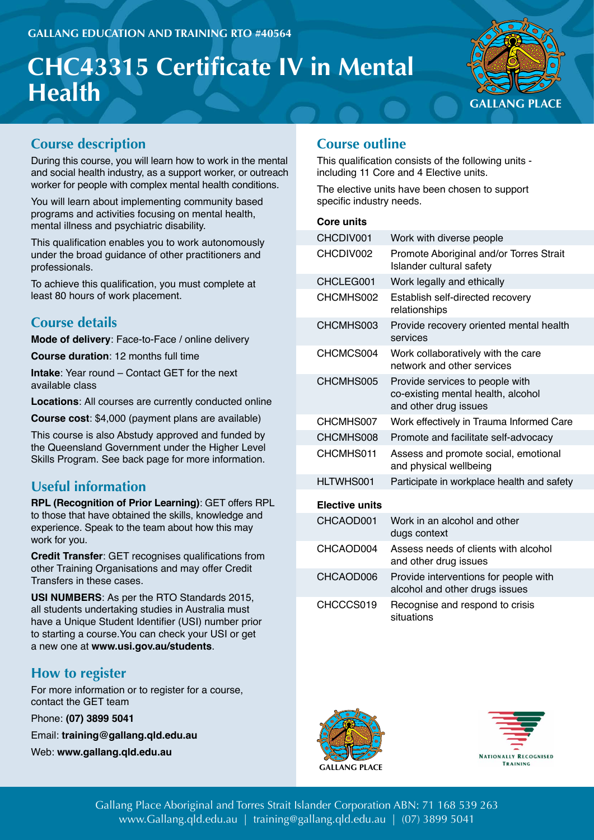# **CHC43315 Certificate IV in Mental Health GALLANG PLACE**



## **Course description**

During this course, you will learn how to work in the mental and social health industry, as a support worker, or outreach worker for people with complex mental health conditions.

You will learn about implementing community based programs and activities focusing on mental health, mental illness and psychiatric disability.

This qualification enables you to work autonomously under the broad guidance of other practitioners and professionals.

To achieve this qualification, you must complete at least 80 hours of work placement.

# **Course details**

**Mode of delivery**: Face-to-Face / online delivery

**Course duration**: 12 months full time

**Intake**: Year round – Contact GET for the next available class

**Locations**: All courses are currently conducted online

**Course cost**: \$4,000 (payment plans are available)

This course is also Abstudy approved and funded by the Queensland Government under the Higher Level Skills Program. See back page for more information.

# **Useful information**

**RPL (Recognition of Prior Learning)**: GET offers RPL to those that have obtained the skills, knowledge and experience. Speak to the team about how this may work for you.

**Credit Transfer**: GET recognises qualifications from other Training Organisations and may offer Credit Transfers in these cases.

**USI NUMBERS**: As per the RTO Standards 2015, all students undertaking studies in Australia must have a Unique Student Identifier (USI) number prior to starting a course.You can check your USI or get a new one at **www.usi.gov.au/students**.

# **How to register**

For more information or to register for a course, contact the GET team

Phone: **(07) 3899 5041**

Email: **training@gallang.qld.edu.au**

Web: **www.gallang.qld.edu.au**

## **Course outline**

This qualification consists of the following units including 11 Core and 4 Elective units.

The elective units have been chosen to support specific industry needs.

### **Core units**

| CHCDIV001             | Work with diverse people                                                                       |
|-----------------------|------------------------------------------------------------------------------------------------|
| CHCDIV002             | Promote Aboriginal and/or Torres Strait<br>Islander cultural safety                            |
| CHCLEG001             | Work legally and ethically                                                                     |
| CHCMHS002             | Establish self-directed recovery<br>relationships                                              |
| CHCMHS003             | Provide recovery oriented mental health<br>services                                            |
| CHCMCS004             | Work collaboratively with the care<br>network and other services                               |
| CHCMHS005             | Provide services to people with<br>co-existing mental health, alcohol<br>and other drug issues |
| CHCMHS007             | Work effectively in Trauma Informed Care                                                       |
| CHCMHS008             | Promote and facilitate self-advocacy                                                           |
| CHCMHS011             | Assess and promote social, emotional<br>and physical wellbeing                                 |
| HLTWHS001             | Participate in workplace health and safety                                                     |
| <b>Elective units</b> |                                                                                                |
| CHCAOD001             | Work in an alcohol and other<br>dugs context                                                   |
| CHCAOD004             | Assess needs of clients with alcohol<br>and other drug issues                                  |
| CHCAOD006             | Provide interventions for people with<br>alcohol and other drugs issues                        |
| CHCCCS019             | Recognise and respond to crisis<br>situations                                                  |





Gallang Place Aboriginal and Torres Strait Islander Corporation ABN: 71 168 539 263 www.Gallang.qld.edu.au | training@gallang.qld.edu.au | (07) 3899 5041